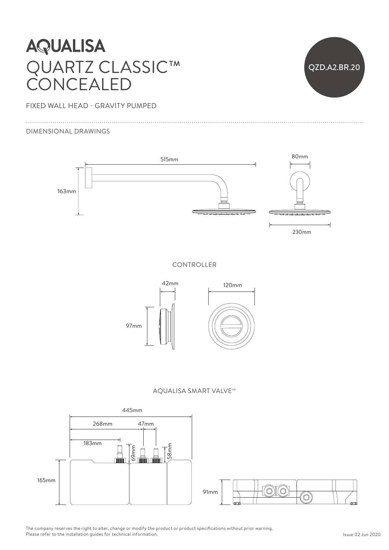## **AQUALISA** QUARTZ CLASSIC™  $\bigcup$   $\bigcup$ CONCEALED



FIXED WALL HEAD - GRAVITY PUMPED

#### DIMENSIONAL DRAWINGS



CONTROLLER







The company reserves the right to alter, change or modify the product or product specifications without prior warning. Please refer to the installation guides for technical information.